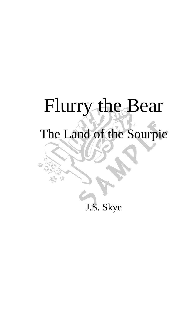# Flurry the Bear

## The Land of the Sourpie

£k

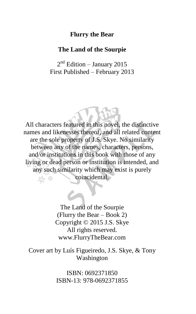#### **Flurry the Bear**

#### **The Land of the Sourpie**

2<sup>nd</sup> Edition – January 2015 First Published – February 2013

All characters featured in this novel, the distinctive names and likenesses thereof, and all related content are the sole property of J.S. Skye. No similarity between any of the names, characters, persons, and/or institutions in this book with those of any living or dead person or institution is intended, and any such similarity which may exist is purely coincidental.

> The Land of the Sourpie (Flurry the Bear – Book 2) Copyright © 2015 J.S. Skye All rights reserved. www.FlurryTheBear.com

Cover art by Luís Figueiredo, J.S. Skye, & Tony Washington

> ISBN: 0692371850 ISBN-13: 978-0692371855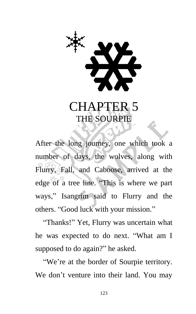

### CHAPTER 5 THE SOURPIE

After the long journey, one which took a number of days, the wolves, along with Flurry, Fall, and Caboose, arrived at the edge of a tree line. "This is where we part ways," Isangrim said to Flurry and the others. "Good luck with your mission."

"Thanks!" Yet, Flurry was uncertain what he was expected to do next. "What am I supposed to do again?" he asked.

"We're at the border of Sourpie territory. We don't venture into their land. You may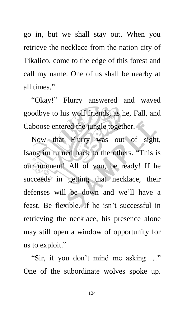go in, but we shall stay out. When you retrieve the necklace from the nation city of Tikalico, come to the edge of this forest and call my name. One of us shall be nearby at all times."

"Okay!" Flurry answered and waved goodbye to his wolf friends, as he, Fall, and Caboose entered the jungle together.

Now that Flurry was out of sight, Isangrim turned back to the others. "This is our moment! All of you, be ready! If he succeeds in getting that necklace, their defenses will be down and we'll have a feast. Be flexible. If he isn't successful in retrieving the necklace, his presence alone may still open a window of opportunity for us to exploit."

"Sir, if you don't mind me asking …" One of the subordinate wolves spoke up.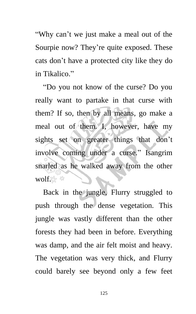"Why can't we just make a meal out of the Sourpie now? They're quite exposed. These cats don't have a protected city like they do in Tikalico."

"Do you not know of the curse? Do you really want to partake in that curse with them? If so, then by all means, go make a meal out of them. I, however, have my sights set on greater things that don't involve coming under a curse." Isangrim snarled as he walked away from the other wolf. \*

Back in the jungle, Flurry struggled to push through the dense vegetation. This jungle was vastly different than the other forests they had been in before. Everything was damp, and the air felt moist and heavy. The vegetation was very thick, and Flurry could barely see beyond only a few feet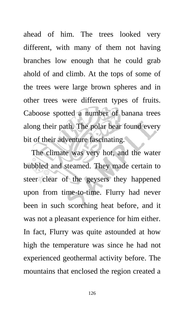ahead of him. The trees looked very different, with many of them not having branches low enough that he could grab ahold of and climb. At the tops of some of the trees were large brown spheres and in other trees were different types of fruits. Caboose spotted a number of banana trees along their path. The polar bear found every bit of their adventure fascinating.

The climate was very hot, and the water bubbled and steamed. They made certain to steer clear of the geysers they happened upon from time-to-time. Flurry had never been in such scorching heat before, and it was not a pleasant experience for him either. In fact, Flurry was quite astounded at how high the temperature was since he had not experienced geothermal activity before. The mountains that enclosed the region created a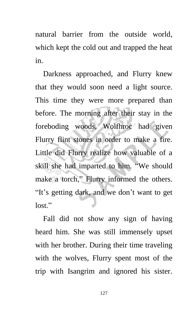natural barrier from the outside world, which kept the cold out and trapped the heat in.

Darkness approached, and Flurry knew that they would soon need a light source. This time they were more prepared than before. The morning after their stay in the foreboding woods, Wolfhroc had given Flurry flint stones in order to make a fire. Little did Flurry realize how valuable of a skill she had imparted to him. "We should make a torch," Flurry informed the others. "It's getting dark, and we don't want to get lost."

Fall did not show any sign of having heard him. She was still immensely upset with her brother. During their time traveling with the wolves, Flurry spent most of the trip with Isangrim and ignored his sister.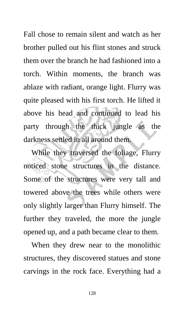Fall chose to remain silent and watch as her brother pulled out his flint stones and struck them over the branch he had fashioned into a torch. Within moments, the branch was ablaze with radiant, orange light. Flurry was quite pleased with his first torch. He lifted it above his head and continued to lead his party through the thick jungle as the darkness settled in all around them.

While they traversed the foliage, Flurry noticed stone structures in the distance. Some of the structures were very tall and towered above the trees while others were only slightly larger than Flurry himself. The further they traveled, the more the jungle opened up, and a path became clear to them.

When they drew near to the monolithic structures, they discovered statues and stone carvings in the rock face. Everything had a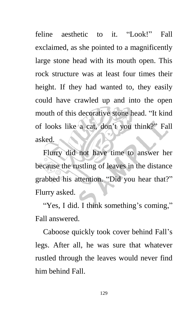feline aesthetic to it. "Look!" Fall exclaimed, as she pointed to a magnificently large stone head with its mouth open. This rock structure was at least four times their height. If they had wanted to, they easily could have crawled up and into the open mouth of this decorative stone head. "It kind of looks like a cat, don't you think?" Fall asked.  $\overline{\mathcal{L}}$ 

Flurry did not have time to answer her because the rustling of leaves in the distance grabbed his attention. "Did you hear that?" Flurry asked.

"Yes, I did. I think something's coming," Fall answered.

Caboose quickly took cover behind Fall's legs. After all, he was sure that whatever rustled through the leaves would never find him behind Fall.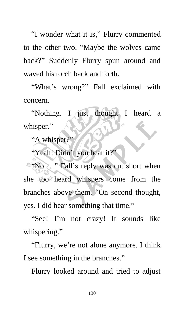"I wonder what it is," Flurry commented to the other two. "Maybe the wolves came back?" Suddenly Flurry spun around and waved his torch back and forth.

"What's wrong?" Fall exclaimed with concern.

"Nothing. I just thought I heard a whisper."

"A whisper?"

"Yeah! Didn't you hear it?"

"No ..." Fall's reply was cut short when she too heard whispers come from the branches above them. "On second thought, yes. I did hear something that time."

"See! I'm not crazy! It sounds like whispering."

"Flurry, we're not alone anymore. I think I see something in the branches."

Flurry looked around and tried to adjust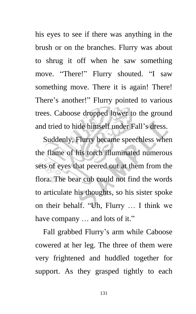his eyes to see if there was anything in the brush or on the branches. Flurry was about to shrug it off when he saw something move. "There!" Flurry shouted. "I saw something move. There it is again! There! There's another!" Flurry pointed to various trees. Caboose dropped lower to the ground and tried to hide himself under Fall's dress.

Suddenly, Flurry became speechless when the flame of his torch illuminated numerous sets of eyes that peered out at them from the flora. The bear cub could not find the words to articulate his thoughts, so his sister spoke on their behalf. "Uh, Flurry … I think we have company  $\ldots$  and lots of it."

Fall grabbed Flurry's arm while Caboose cowered at her leg. The three of them were very frightened and huddled together for support. As they grasped tightly to each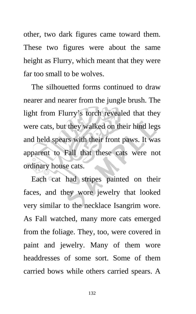other, two dark figures came toward them. These two figures were about the same height as Flurry, which meant that they were far too small to be wolves.

The silhouetted forms continued to draw nearer and nearer from the jungle brush. The light from Flurry's torch revealed that they were cats, but they walked on their hind legs and held spears with their front paws. It was apparent to Fall that these cats were not ordinary house cats.

Each cat had stripes painted on their faces, and they wore jewelry that looked very similar to the necklace Isangrim wore. As Fall watched, many more cats emerged from the foliage. They, too, were covered in paint and jewelry. Many of them wore headdresses of some sort. Some of them carried bows while others carried spears. A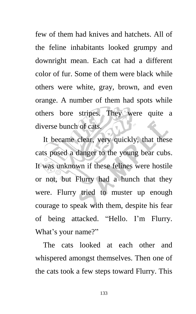few of them had knives and hatchets. All of the feline inhabitants looked grumpy and downright mean. Each cat had a different color of fur. Some of them were black while others were white, gray, brown, and even orange. A number of them had spots while others bore stripes. They were quite a diverse bunch of cats.

It became clear, very quickly, that these cats posed a danger to the young bear cubs. It was unknown if these felines were hostile or not, but Flurry had a hunch that they were. Flurry tried to muster up enough courage to speak with them, despite his fear of being attacked. "Hello. I'm Flurry. What's your name?"

The cats looked at each other and whispered amongst themselves. Then one of the cats took a few steps toward Flurry. This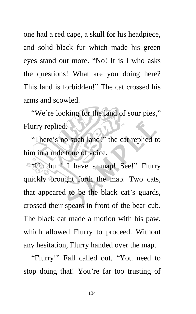one had a red cape, a skull for his headpiece, and solid black fur which made his green eyes stand out more. "No! It is I who asks the questions! What are you doing here? This land is forbidden!" The cat crossed his arms and scowled.

"We're looking for the land of sour pies," Flurry replied.

"There's no such land!" the cat replied to him in a rude tone of voice.

**We'Uh huh!** I have a map! See!" Flurry quickly brought forth the map. Two cats, that appeared to be the black cat's guards, crossed their spears in front of the bear cub. The black cat made a motion with his paw, which allowed Flurry to proceed. Without any hesitation, Flurry handed over the map.

"Flurry!" Fall called out. "You need to stop doing that! You're far too trusting of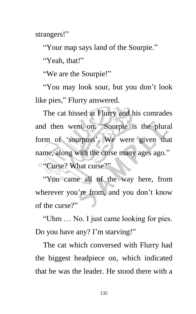strangers!"

"Your map says land of the Sourpie."

"Yeah, that!"

"We are the Sourpie!"

"You may look sour, but you don't look like pies," Flurry answered.

The cat hissed at Flurry and his comrades and then went on. "Sourpie is the plural form of 'sourpuss'. We were given that name, along with the curse many ages ago." "Curse? What curse?"

"You came all of the way here, from wherever you're from, and you don't know of the curse?"

"Uhm … No. I just came looking for pies. Do you have any? I'm starving!"

The cat which conversed with Flurry had the biggest headpiece on, which indicated that he was the leader. He stood there with a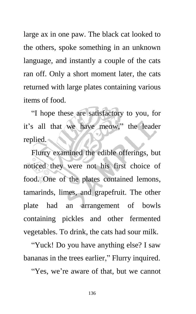large ax in one paw. The black cat looked to the others, spoke something in an unknown language, and instantly a couple of the cats ran off. Only a short moment later, the cats returned with large plates containing various items of food.

"I hope these are satisfactory to you, for it's all that we have meow," the leader replied.

Flurry examined the edible offerings, but noticed they were not his first choice of food. One of the plates contained lemons, tamarinds, limes, and grapefruit. The other plate had an arrangement of bowls containing pickles and other fermented vegetables. To drink, the cats had sour milk.

"Yuck! Do you have anything else? I saw bananas in the trees earlier," Flurry inquired.

"Yes, we're aware of that, but we cannot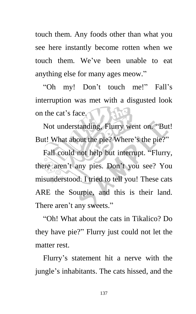touch them. Any foods other than what you see here instantly become rotten when we touch them. We've been unable to eat anything else for many ages meow."

"Oh my! Don't touch me!" Fall's interruption was met with a disgusted look on the cat's face.

Not understanding, Flurry went on. "But! But! What about the pie? Where's the pie?"

Fall could not help but interrupt. "Flurry, there aren't any pies. Don't you see? You misunderstood. I tried to tell you! These cats ARE the Sourpie, and this is their land. There aren't any sweets."

"Oh! What about the cats in Tikalico? Do they have pie?" Flurry just could not let the matter rest.

Flurry's statement hit a nerve with the jungle's inhabitants. The cats hissed, and the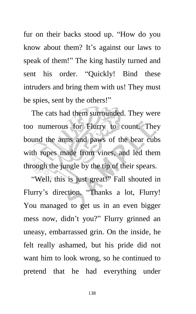fur on their backs stood up. "How do you know about them? It's against our laws to speak of them!" The king hastily turned and sent his order. "Quickly! Bind these intruders and bring them with us! They must be spies, sent by the others!"

The cats had them surrounded. They were too numerous for Flurry to count. They bound the arms and paws of the bear cubs with ropes made from vines, and led them through the jungle by the tip of their spears.

"Well, this is just great!" Fall shouted in Flurry's direction. "Thanks a lot, Flurry! You managed to get us in an even bigger mess now, didn't you?" Flurry grinned an uneasy, embarrassed grin. On the inside, he felt really ashamed, but his pride did not want him to look wrong, so he continued to pretend that he had everything under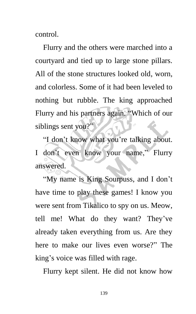control.

Flurry and the others were marched into a courtyard and tied up to large stone pillars. All of the stone structures looked old, worn, and colorless. Some of it had been leveled to nothing but rubble. The king approached Flurry and his partners again. "Which of our siblings sent you?"

"I don't know what you're talking about. I don't even know your name," Flurry answered.

"My name is King Sourpuss, and I don't have time to play these games! I know you were sent from Tikalico to spy on us. Meow, tell me! What do they want? They've already taken everything from us. Are they here to make our lives even worse?" The king's voice was filled with rage.

Flurry kept silent. He did not know how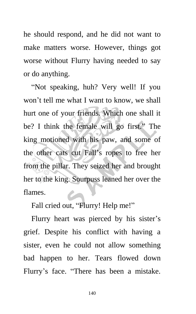he should respond, and he did not want to make matters worse. However, things got worse without Flurry having needed to say or do anything.

"Not speaking, huh? Very well! If you won't tell me what I want to know, we shall hurt one of your friends. Which one shall it be? I think the female will go first." The king motioned with his paw, and some of the other cats cut Fall's ropes to free her from the pillar. They seized her and brought her to the king. Sourpuss leaned her over the flames.

Fall cried out, "Flurry! Help me!"

Flurry heart was pierced by his sister's grief. Despite his conflict with having a sister, even he could not allow something bad happen to her. Tears flowed down Flurry's face. "There has been a mistake.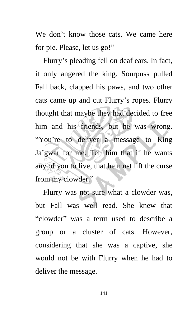We don't know those cats. We came here for pie. Please, let us go!"

Flurry's pleading fell on deaf ears. In fact, it only angered the king. Sourpuss pulled Fall back, clapped his paws, and two other cats came up and cut Flurry's ropes. Flurry thought that maybe they had decided to free him and his friends, but he was wrong. "You're to deliver a message to King Ja'gwar for me. Tell him that if he wants any of you to live, that he must lift the curse from my clowder."

Flurry was not sure what a clowder was, but Fall was well read. She knew that "clowder" was a term used to describe a group or a cluster of cats. However, considering that she was a captive, she would not be with Flurry when he had to deliver the message.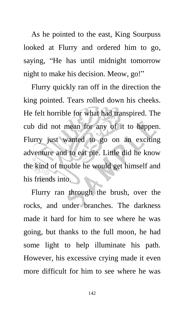As he pointed to the east, King Sourpuss looked at Flurry and ordered him to go, saying, "He has until midnight tomorrow night to make his decision. Meow, go!"

Flurry quickly ran off in the direction the king pointed. Tears rolled down his cheeks. He felt horrible for what had transpired. The cub did not mean for any of it to happen. Flurry just wanted to go on an exciting adventure and to eat pie. Little did he know the kind of trouble he would get himself and his friends into.

Flurry ran through the brush, over the rocks, and under branches. The darkness made it hard for him to see where he was going, but thanks to the full moon, he had some light to help illuminate his path. However, his excessive crying made it even more difficult for him to see where he was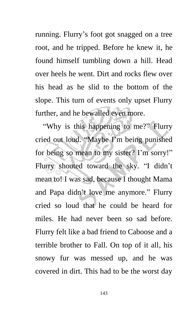running. Flurry's foot got snagged on a tree root, and he tripped. Before he knew it, he found himself tumbling down a hill. Head over heels he went. Dirt and rocks flew over his head as he slid to the bottom of the slope. This turn of events only upset Flurry further, and he bewailed even more.

"Why is this happening to me?" Flurry cried out loud. "Maybe I'm being punished for being so mean to my sister? I'm sorry!" Flurry shouted toward the sky. "I didn't mean to! I was sad, because I thought Mama and Papa didn't love me anymore." Flurry cried so loud that he could be heard for miles. He had never been so sad before. Flurry felt like a bad friend to Caboose and a terrible brother to Fall. On top of it all, his snowy fur was messed up, and he was covered in dirt. This had to be the worst day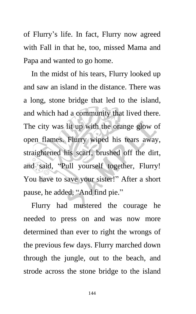of Flurry's life. In fact, Flurry now agreed with Fall in that he, too, missed Mama and Papa and wanted to go home.

In the midst of his tears, Flurry looked up and saw an island in the distance. There was a long, stone bridge that led to the island, and which had a community that lived there. The city was lit up with the orange glow of open flames. Flurry wiped his tears away, straightened his scarf, brushed off the dirt, and said, "Pull yourself together, Flurry! You have to save your sister!" After a short pause, he added, "And find pie."

Flurry had mustered the courage he needed to press on and was now more determined than ever to right the wrongs of the previous few days. Flurry marched down through the jungle, out to the beach, and strode across the stone bridge to the island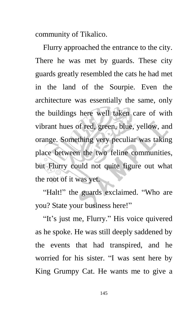community of Tikalico.

Flurry approached the entrance to the city. There he was met by guards. These city guards greatly resembled the cats he had met in the land of the Sourpie. Even the architecture was essentially the same, only the buildings here well taken care of with vibrant hues of red, green, blue, yellow, and orange. Something very peculiar was taking place between the two feline communities, but Flurry could not quite figure out what the root of it was yet.

"Halt!" the guards exclaimed. "Who are you? State your business here!"

"It's just me, Flurry." His voice quivered as he spoke. He was still deeply saddened by the events that had transpired, and he worried for his sister. "I was sent here by King Grumpy Cat. He wants me to give a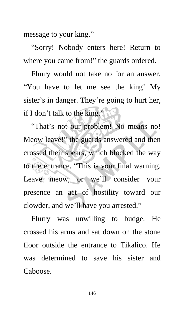message to your king."

"Sorry! Nobody enters here! Return to where you came from!" the guards ordered.

Flurry would not take no for an answer. "You have to let me see the king! My sister's in danger. They're going to hurt her, if I don't talk to the king."

"That's not our problem! No means no! Meow leave!" the guards answered and then crossed their spears, which blocked the way to the entrance. "This is your final warning. Leave meow, or we'll consider your presence an act of hostility toward our clowder, and we'll have you arrested."

Flurry was unwilling to budge. He crossed his arms and sat down on the stone floor outside the entrance to Tikalico. He was determined to save his sister and Caboose.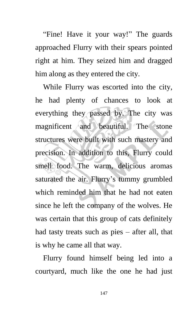"Fine! Have it your way!" The guards approached Flurry with their spears pointed right at him. They seized him and dragged him along as they entered the city.

While Flurry was escorted into the city, he had plenty of chances to look at everything they passed by. The city was magnificent and beautiful. The stone structures were built with such mastery and precision. In addition to this, Flurry could smell food. The warm, delicious aromas saturated the air. Flurry's tummy grumbled which reminded him that he had not eaten since he left the company of the wolves. He was certain that this group of cats definitely had tasty treats such as pies – after all, that is why he came all that way.

Flurry found himself being led into a courtyard, much like the one he had just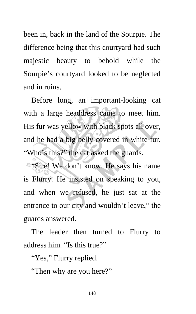been in, back in the land of the Sourpie. The difference being that this courtyard had such majestic beauty to behold while the Sourpie's courtyard looked to be neglected and in ruins.

Before long, an important-looking cat with a large headdress came to meet him. His fur was yellow with black spots all over, and he had a big belly covered in white fur. "Who's this?" the cat asked the guards.

**"Sire!** We don't know. He says his name is Flurry. He insisted on speaking to you, and when we refused, he just sat at the entrance to our city and wouldn't leave," the guards answered.

The leader then turned to Flurry to address him. "Is this true?"

"Yes," Flurry replied.

"Then why are you here?"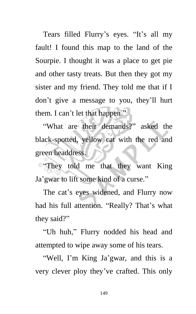Tears filled Flurry's eyes. "It's all my fault! I found this map to the land of the Sourpie. I thought it was a place to get pie and other tasty treats. But then they got my sister and my friend. They told me that if I don't give a message to you, they'll hurt them. I can't let that happen."

"What are their demands?" asked the black-spotted, yellow cat with the red and green headdress.

**"They told me that they want King"** Ja'gwar to lift some kind of a curse."

The cat's eyes widened, and Flurry now had his full attention. "Really? That's what they said?"

"Uh huh," Flurry nodded his head and attempted to wipe away some of his tears.

"Well, I'm King Ja'gwar, and this is a very clever ploy they've crafted. This only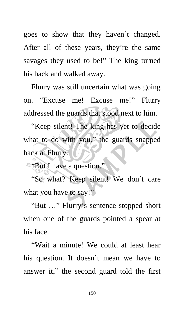goes to show that they haven't changed. After all of these years, they're the same savages they used to be!" The king turned his back and walked away.

Flurry was still uncertain what was going on. "Excuse me! Excuse me!" Flurry addressed the guards that stood next to him.

"Keep silent! The king has yet to decide what to do with you," the guards snapped back at Flurry.

"But I have a question."

"So what? Keep silent! We don't care what you have to say!"

"But …" Flurry's sentence stopped short when one of the guards pointed a spear at his face.

"Wait a minute! We could at least hear his question. It doesn't mean we have to answer it," the second guard told the first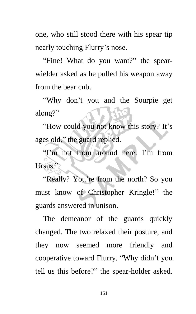one, who still stood there with his spear tip nearly touching Flurry's nose.

"Fine! What do you want?" the spearwielder asked as he pulled his weapon away from the bear cub.

"Why don't you and the Sourpie get along?"

"How could you not know this story? It's ages old," the guard replied.

"I'm not from around here. I'm from Ursus."

"Really? You're from the north? So you must know of Christopher Kringle!" the guards answered in unison.

The demeanor of the guards quickly changed. The two relaxed their posture, and they now seemed more friendly and cooperative toward Flurry. "Why didn't you tell us this before?" the spear-holder asked.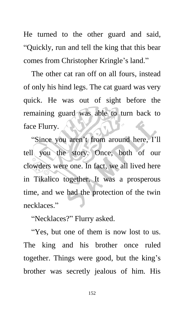He turned to the other guard and said, "Quickly, run and tell the king that this bear comes from Christopher Kringle's land."

The other cat ran off on all fours, instead of only his hind legs. The cat guard was very quick. He was out of sight before the remaining guard was able to turn back to face Flurry.

"Since you aren't from around here, I'll tell you the story. Once, both of our clowders were one. In fact, we all lived here in Tikalico together. It was a prosperous time, and we had the protection of the twin necklaces."

"Necklaces?" Flurry asked.

"Yes, but one of them is now lost to us. The king and his brother once ruled together. Things were good, but the king's brother was secretly jealous of him. His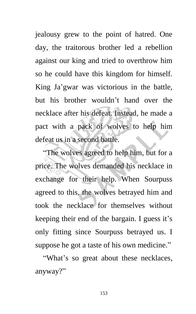jealousy grew to the point of hatred. One day, the traitorous brother led a rebellion against our king and tried to overthrow him so he could have this kingdom for himself. King Ja'gwar was victorious in the battle, but his brother wouldn't hand over the necklace after his defeat. Instead, he made a pact with a pack of wolves to help him defeat us in a second battle.

"The wolves agreed to help him, but for a price. The wolves demanded his necklace in exchange for their help. When Sourpuss agreed to this, the wolves betrayed him and took the necklace for themselves without keeping their end of the bargain. I guess it's only fitting since Sourpuss betrayed us. I suppose he got a taste of his own medicine."

"What's so great about these necklaces, anyway?"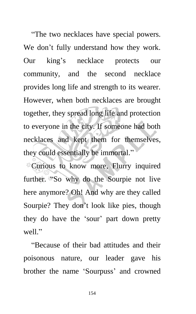"The two necklaces have special powers. We don't fully understand how they work. Our king's necklace protects our community, and the second necklace provides long life and strength to its wearer. However, when both necklaces are brought together, they spread long life and protection to everyone in the city. If someone had both necklaces and kept them for themselves, they could essentially be immortal."

Curious to know more, Flurry inquired further. "So why do the Sourpie not live here anymore? Oh! And why are they called Sourpie? They don't look like pies, though they do have the 'sour' part down pretty well"

"Because of their bad attitudes and their poisonous nature, our leader gave his brother the name 'Sourpuss' and crowned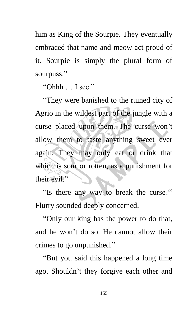him as King of the Sourpie. They eventually embraced that name and meow act proud of it. Sourpie is simply the plural form of sourpuss."

"Ohhh … I see."

"They were banished to the ruined city of Agrio in the wildest part of the jungle with a curse placed upon them. The curse won't allow them to taste anything sweet ever again. They may only eat or drink that which is sour or rotten, as a punishment for their evil."

"Is there any way to break the curse?" Flurry sounded deeply concerned.

"Only our king has the power to do that, and he won't do so. He cannot allow their crimes to go unpunished."

"But you said this happened a long time ago. Shouldn't they forgive each other and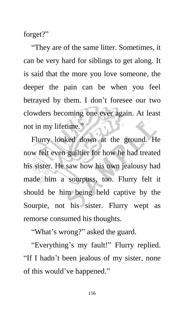forget?"

"They are of the same litter. Sometimes, it can be very hard for siblings to get along. It is said that the more you love someone, the deeper the pain can be when you feel betrayed by them. I don't foresee our two clowders becoming one ever again. At least not in my lifetime."

Flurry looked down at the ground. He now felt even guiltier for how he had treated his sister. He saw how his own jealousy had made him a sourpuss, too. Flurry felt it should be him being held captive by the Sourpie, not his sister. Flurry wept as remorse consumed his thoughts.

"What's wrong?" asked the guard.

"Everything's my fault!" Flurry replied. "If I hadn't been jealous of my sister, none of this would've happened."